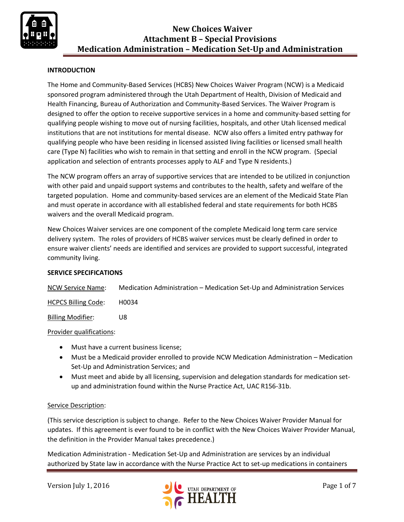

### **INTRODUCTION**

The Home and Community-Based Services (HCBS) New Choices Waiver Program (NCW) is a Medicaid sponsored program administered through the Utah Department of Health, Division of Medicaid and Health Financing, Bureau of Authorization and Community-Based Services. The Waiver Program is designed to offer the option to receive supportive services in a home and community-based setting for qualifying people wishing to move out of nursing facilities, hospitals, and other Utah licensed medical institutions that are not institutions for mental disease. NCW also offers a limited entry pathway for qualifying people who have been residing in licensed assisted living facilities or licensed small health care (Type N) facilities who wish to remain in that setting and enroll in the NCW program. (Special application and selection of entrants processes apply to ALF and Type N residents.)

The NCW program offers an array of supportive services that are intended to be utilized in conjunction with other paid and unpaid support systems and contributes to the health, safety and welfare of the targeted population. Home and community-based services are an element of the Medicaid State Plan and must operate in accordance with all established federal and state requirements for both HCBS waivers and the overall Medicaid program.

New Choices Waiver services are one component of the complete Medicaid long term care service delivery system. The roles of providers of HCBS waiver services must be clearly defined in order to ensure waiver clients' needs are identified and services are provided to support successful, integrated community living.

### **SERVICE SPECIFICATIONS**

NCW Service Name: Medication Administration – Medication Set-Up and Administration Services

HCPCS Billing Code: H0034

Billing Modifier: U8

### Provider qualifications:

- Must have a current business license;
- Must be a Medicaid provider enrolled to provide NCW Medication Administration Medication Set-Up and Administration Services; and
- Must meet and abide by all licensing, supervision and delegation standards for medication setup and administration found within the Nurse Practice Act, UAC R156-31b.

### Service Description:

(This service description is subject to change. Refer to the New Choices Waiver Provider Manual for updates. If this agreement is ever found to be in conflict with the New Choices Waiver Provider Manual, the definition in the Provider Manual takes precedence.)

Medication Administration - Medication Set-Up and Administration are services by an individual authorized by State law in accordance with the Nurse Practice Act to set-up medications in containers

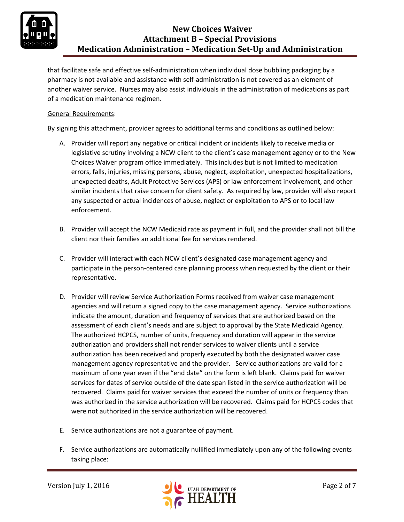

that facilitate safe and effective self-administration when individual dose bubbling packaging by a pharmacy is not available and assistance with self-administration is not covered as an element of another waiver service. Nurses may also assist individuals in the administration of medications as part of a medication maintenance regimen.

## General Requirements:

By signing this attachment, provider agrees to additional terms and conditions as outlined below:

- A. Provider will report any negative or critical incident or incidents likely to receive media or legislative scrutiny involving a NCW client to the client's case management agency or to the New Choices Waiver program office immediately. This includes but is not limited to medication errors, falls, injuries, missing persons, abuse, neglect, exploitation, unexpected hospitalizations, unexpected deaths, Adult Protective Services (APS) or law enforcement involvement, and other similar incidents that raise concern for client safety. As required by law, provider will also report any suspected or actual incidences of abuse, neglect or exploitation to APS or to local law enforcement.
- B. Provider will accept the NCW Medicaid rate as payment in full, and the provider shall not bill the client nor their families an additional fee for services rendered.
- C. Provider will interact with each NCW client's designated case management agency and participate in the person-centered care planning process when requested by the client or their representative.
- D. Provider will review Service Authorization Forms received from waiver case management agencies and will return a signed copy to the case management agency. Service authorizations indicate the amount, duration and frequency of services that are authorized based on the assessment of each client's needs and are subject to approval by the State Medicaid Agency. The authorized HCPCS, number of units, frequency and duration will appear in the service authorization and providers shall not render services to waiver clients until a service authorization has been received and properly executed by both the designated waiver case management agency representative and the provider. Service authorizations are valid for a maximum of one year even if the "end date" on the form is left blank. Claims paid for waiver services for dates of service outside of the date span listed in the service authorization will be recovered. Claims paid for waiver services that exceed the number of units or frequency than was authorized in the service authorization will be recovered. Claims paid for HCPCS codes that were not authorized in the service authorization will be recovered.
- E. Service authorizations are not a guarantee of payment.
- F. Service authorizations are automatically nullified immediately upon any of the following events taking place:

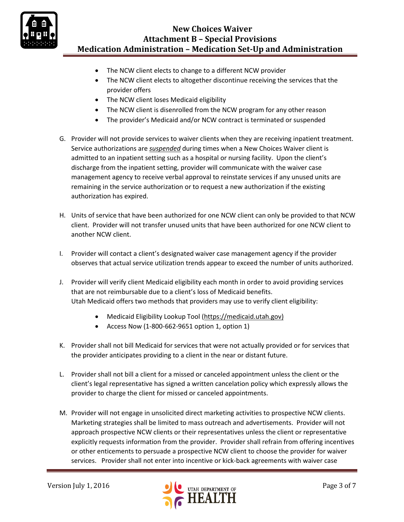

- The NCW client elects to change to a different NCW provider
- The NCW client elects to altogether discontinue receiving the services that the provider offers
- The NCW client loses Medicaid eligibility
- The NCW client is disenrolled from the NCW program for any other reason
- The provider's Medicaid and/or NCW contract is terminated or suspended
- G. Provider will not provide services to waiver clients when they are receiving inpatient treatment. Service authorizations are *suspended* during times when a New Choices Waiver client is admitted to an inpatient setting such as a hospital or nursing facility. Upon the client's discharge from the inpatient setting, provider will communicate with the waiver case management agency to receive verbal approval to reinstate services if any unused units are remaining in the service authorization or to request a new authorization if the existing authorization has expired.
- H. Units of service that have been authorized for one NCW client can only be provided to that NCW client. Provider will not transfer unused units that have been authorized for one NCW client to another NCW client.
- I. Provider will contact a client's designated waiver case management agency if the provider observes that actual service utilization trends appear to exceed the number of units authorized.
- J. Provider will verify client Medicaid eligibility each month in order to avoid providing services that are not reimbursable due to a client's loss of Medicaid benefits. Utah Medicaid offers two methods that providers may use to verify client eligibility:
	- Medicaid Eligibility Lookup Tool [\(https://medicaid.utah.gov\)](https://medicaid.utah.gov/)
	- Access Now (1-800-662-9651 option 1, option 1)
- K. Provider shall not bill Medicaid for services that were not actually provided or for services that the provider anticipates providing to a client in the near or distant future.
- L. Provider shall not bill a client for a missed or canceled appointment unless the client or the client's legal representative has signed a written cancelation policy which expressly allows the provider to charge the client for missed or canceled appointments.
- M. Provider will not engage in unsolicited direct marketing activities to prospective NCW clients. Marketing strategies shall be limited to mass outreach and advertisements. Provider will not approach prospective NCW clients or their representatives unless the client or representative explicitly requests information from the provider. Provider shall refrain from offering incentives or other enticements to persuade a prospective NCW client to choose the provider for waiver services. Provider shall not enter into incentive or kick-back agreements with waiver case

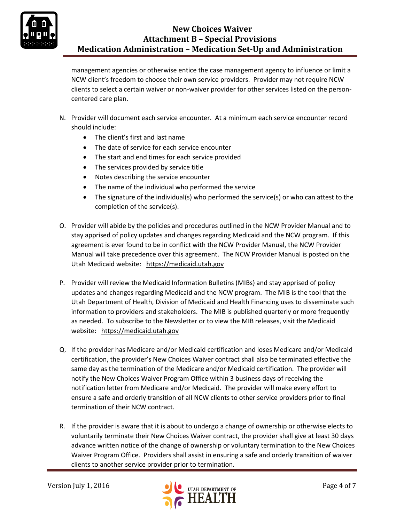

management agencies or otherwise entice the case management agency to influence or limit a NCW client's freedom to choose their own service providers. Provider may not require NCW clients to select a certain waiver or non-waiver provider for other services listed on the personcentered care plan.

- N. Provider will document each service encounter. At a minimum each service encounter record should include:
	- The client's first and last name
	- The date of service for each service encounter
	- The start and end times for each service provided
	- The services provided by service title
	- Notes describing the service encounter
	- The name of the individual who performed the service
	- The signature of the individual(s) who performed the service(s) or who can attest to the completion of the service(s).
- O. Provider will abide by the policies and procedures outlined in the NCW Provider Manual and to stay apprised of policy updates and changes regarding Medicaid and the NCW program. If this agreement is ever found to be in conflict with the NCW Provider Manual, the NCW Provider Manual will take precedence over this agreement. The NCW Provider Manual is posted on the Utah Medicaid website: [https://medicaid.utah.gov](https://medicaid.utah.gov/)
- P. Provider will review the Medicaid Information Bulletins (MIBs) and stay apprised of policy updates and changes regarding Medicaid and the NCW program. The MIB is the tool that the Utah Department of Health, Division of Medicaid and Health Financing uses to disseminate such information to providers and stakeholders. The MIB is published quarterly or more frequently as needed. To subscribe to the Newsletter or to view the MIB releases, visit the Medicaid website: [https://medicaid.utah.gov](https://medicaid.utah.gov/)
- Q. If the provider has Medicare and/or Medicaid certification and loses Medicare and/or Medicaid certification, the provider's New Choices Waiver contract shall also be terminated effective the same day as the termination of the Medicare and/or Medicaid certification. The provider will notify the New Choices Waiver Program Office within 3 business days of receiving the notification letter from Medicare and/or Medicaid. The provider will make every effort to ensure a safe and orderly transition of all NCW clients to other service providers prior to final termination of their NCW contract.
- R. If the provider is aware that it is about to undergo a change of ownership or otherwise elects to voluntarily terminate their New Choices Waiver contract, the provider shall give at least 30 days advance written notice of the change of ownership or voluntary termination to the New Choices Waiver Program Office. Providers shall assist in ensuring a safe and orderly transition of waiver clients to another service provider prior to termination.

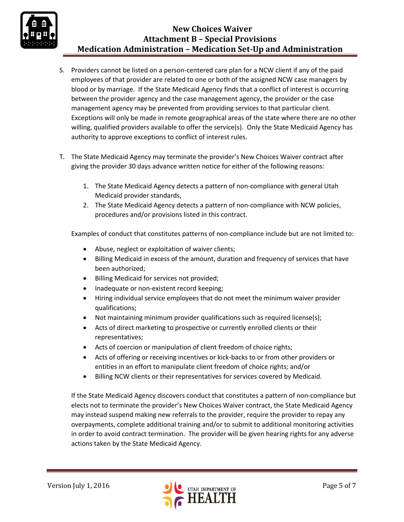

- S. Providers cannot be listed on a person-centered care plan for a NCW client if any of the paid employees of that provider are related to one or both of the assigned NCW case managers by blood or by marriage. If the State Medicaid Agency finds that a conflict of interest is occurring between the provider agency and the case management agency, the provider or the case management agency may be prevented from providing services to that particular client. Exceptions will only be made in remote geographical areas of the state where there are no other willing, qualified providers available to offer the service(s). Only the State Medicaid Agency has authority to approve exceptions to conflict of interest rules.
- T. The State Medicaid Agency may terminate the provider's New Choices Waiver contract after giving the provider 30 days advance written notice for either of the following reasons:
	- 1. The State Medicaid Agency detects a pattern of non-compliance with general Utah Medicaid provider standards,
	- 2. The State Medicaid Agency detects a pattern of non-compliance with NCW policies, procedures and/or provisions listed in this contract.

Examples of conduct that constitutes patterns of non-compliance include but are not limited to:

- Abuse, neglect or exploitation of waiver clients;
- Billing Medicaid in excess of the amount, duration and frequency of services that have been authorized;
- Billing Medicaid for services not provided;
- Inadequate or non-existent record keeping;
- Hiring individual service employees that do not meet the minimum waiver provider qualifications;
- Not maintaining minimum provider qualifications such as required license(s);
- Acts of direct marketing to prospective or currently enrolled clients or their representatives;
- Acts of coercion or manipulation of client freedom of choice rights;
- Acts of offering or receiving incentives or kick-backs to or from other providers or entities in an effort to manipulate client freedom of choice rights; and/or
- Billing NCW clients or their representatives for services covered by Medicaid.

If the State Medicaid Agency discovers conduct that constitutes a pattern of non-compliance but elects not to terminate the provider's New Choices Waiver contract, the State Medicaid Agency may instead suspend making new referrals to the provider, require the provider to repay any overpayments, complete additional training and/or to submit to additional monitoring activities in order to avoid contract termination. The provider will be given hearing rights for any adverse actions taken by the State Medicaid Agency.

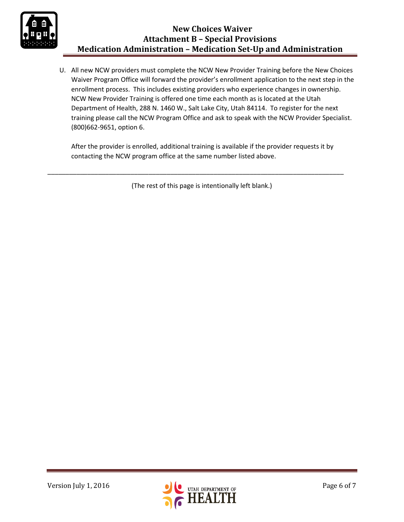

U. All new NCW providers must complete the NCW New Provider Training before the New Choices Waiver Program Office will forward the provider's enrollment application to the next step in the enrollment process. This includes existing providers who experience changes in ownership. NCW New Provider Training is offered one time each month as is located at the Utah Department of Health, 288 N. 1460 W., Salt Lake City, Utah 84114. To register for the next training please call the NCW Program Office and ask to speak with the NCW Provider Specialist. (800)662-9651, option 6.

After the provider is enrolled, additional training is available if the provider requests it by contacting the NCW program office at the same number listed above.

(The rest of this page is intentionally left blank.)

\_\_\_\_\_\_\_\_\_\_\_\_\_\_\_\_\_\_\_\_\_\_\_\_\_\_\_\_\_\_\_\_\_\_\_\_\_\_\_\_\_\_\_\_\_\_\_\_\_\_\_\_\_\_\_\_\_\_\_\_\_\_\_\_\_\_\_\_\_\_\_\_\_\_\_\_\_\_\_\_\_\_